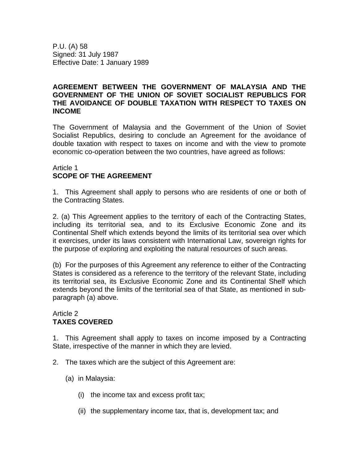P.U. (A) 58 Signed: 31 July 1987 Effective Date: 1 January 1989

### **AGREEMENT BETWEEN THE GOVERNMENT OF MALAYSIA AND THE GOVERNMENT OF THE UNION OF SOVIET SOCIALIST REPUBLICS FOR THE AVOIDANCE OF DOUBLE TAXATION WITH RESPECT TO TAXES ON INCOME**

The Government of Malaysia and the Government of the Union of Soviet Socialist Republics, desiring to conclude an Agreement for the avoidance of double taxation with respect to taxes on income and with the view to promote economic co-operation between the two countries, have agreed as follows:

## Article 1 **SCOPE OF THE AGREEMENT**

1. This Agreement shall apply to persons who are residents of one or both of the Contracting States.

2. (a) This Agreement applies to the territory of each of the Contracting States, including its territorial sea, and to its Exclusive Economic Zone and its Continental Shelf which extends beyond the limits of its territorial sea over which it exercises, under its laws consistent with International Law, sovereign rights for the purpose of exploring and exploiting the natural resources of such areas.

(b) For the purposes of this Agreement any reference to either of the Contracting States is considered as a reference to the territory of the relevant State, including its territorial sea, its Exclusive Economic Zone and its Continental Shelf which extends beyond the limits of the territorial sea of that State, as mentioned in subparagraph (a) above.

#### Article 2 **TAXES COVERED**

1. This Agreement shall apply to taxes on income imposed by a Contracting State, irrespective of the manner in which they are levied.

- 2. The taxes which are the subject of this Agreement are:
	- (a) in Malaysia:
		- (i) the income tax and excess profit tax;
		- (ii) the supplementary income tax, that is, development tax; and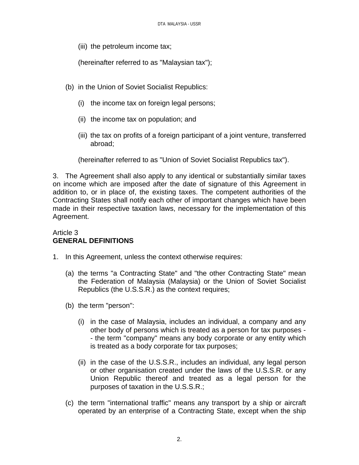(iii) the petroleum income tax;

(hereinafter referred to as "Malaysian tax");

- (b) in the Union of Soviet Socialist Republics:
	- (i) the income tax on foreign legal persons;
	- (ii) the income tax on population; and
	- (iii) the tax on profits of a foreign participant of a joint venture, transferred abroad;

(hereinafter referred to as "Union of Soviet Socialist Republics tax").

3. The Agreement shall also apply to any identical or substantially similar taxes on income which are imposed after the date of signature of this Agreement in addition to, or in place of, the existing taxes. The competent authorities of the Contracting States shall notify each other of important changes which have been made in their respective taxation laws, necessary for the implementation of this Agreement.

## Article 3 **GENERAL DEFINITIONS**

- 1. In this Agreement, unless the context otherwise requires:
	- (a) the terms "a Contracting State" and "the other Contracting State" mean the Federation of Malaysia (Malaysia) or the Union of Soviet Socialist Republics (the U.S.S.R.) as the context requires;
	- (b) the term "person":
		- (i) in the case of Malaysia, includes an individual, a company and any other body of persons which is treated as a person for tax purposes - - the term "company" means any body corporate or any entity which is treated as a body corporate for tax purposes;
		- (ii) in the case of the U.S.S.R., includes an individual, any legal person or other organisation created under the laws of the U.S.S.R. or any Union Republic thereof and treated as a legal person for the purposes of taxation in the U.S.S.R.;
	- (c) the term "international traffic" means any transport by a ship or aircraft operated by an enterprise of a Contracting State, except when the ship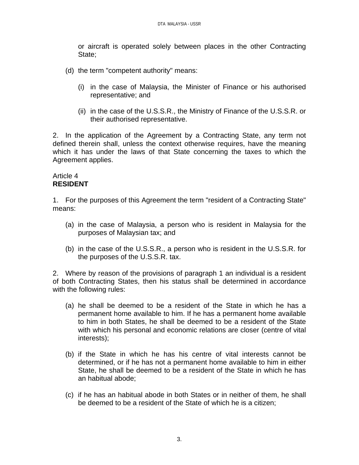or aircraft is operated solely between places in the other Contracting State;

- (d) the term "competent authority" means:
	- (i) in the case of Malaysia, the Minister of Finance or his authorised representative; and
	- (ii) in the case of the U.S.S.R., the Ministry of Finance of the U.S.S.R. or their authorised representative.

2. In the application of the Agreement by a Contracting State, any term not defined therein shall, unless the context otherwise requires, have the meaning which it has under the laws of that State concerning the taxes to which the Agreement applies.

## Article 4 **RESIDENT**

1. For the purposes of this Agreement the term "resident of a Contracting State" means:

- (a) in the case of Malaysia, a person who is resident in Malaysia for the purposes of Malaysian tax; and
- (b) in the case of the U.S.S.R., a person who is resident in the U.S.S.R. for the purposes of the U.S.S.R. tax.

2. Where by reason of the provisions of paragraph 1 an individual is a resident of both Contracting States, then his status shall be determined in accordance with the following rules:

- (a) he shall be deemed to be a resident of the State in which he has a permanent home available to him. If he has a permanent home available to him in both States, he shall be deemed to be a resident of the State with which his personal and economic relations are closer (centre of vital interests);
- (b) if the State in which he has his centre of vital interests cannot be determined, or if he has not a permanent home available to him in either State, he shall be deemed to be a resident of the State in which he has an habitual abode;
- (c) if he has an habitual abode in both States or in neither of them, he shall be deemed to be a resident of the State of which he is a citizen;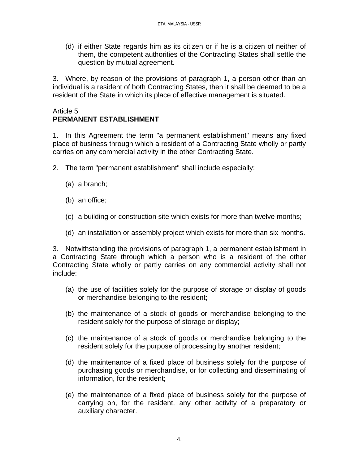(d) if either State regards him as its citizen or if he is a citizen of neither of them, the competent authorities of the Contracting States shall settle the question by mutual agreement.

3. Where, by reason of the provisions of paragraph 1, a person other than an individual is a resident of both Contracting States, then it shall be deemed to be a resident of the State in which its place of effective management is situated.

## Article 5 **PERMANENT ESTABLISHMENT**

1. In this Agreement the term "a permanent establishment" means any fixed place of business through which a resident of a Contracting State wholly or partly carries on any commercial activity in the other Contracting State.

- 2. The term "permanent establishment" shall include especially:
	- (a) a branch;
	- (b) an office;
	- (c) a building or construction site which exists for more than twelve months;
	- (d) an installation or assembly project which exists for more than six months.

3. Notwithstanding the provisions of paragraph 1, a permanent establishment in a Contracting State through which a person who is a resident of the other Contracting State wholly or partly carries on any commercial activity shall not include:

- (a) the use of facilities solely for the purpose of storage or display of goods or merchandise belonging to the resident;
- (b) the maintenance of a stock of goods or merchandise belonging to the resident solely for the purpose of storage or display;
- (c) the maintenance of a stock of goods or merchandise belonging to the resident solely for the purpose of processing by another resident;
- (d) the maintenance of a fixed place of business solely for the purpose of purchasing goods or merchandise, or for collecting and disseminating of information, for the resident;
- (e) the maintenance of a fixed place of business solely for the purpose of carrying on, for the resident, any other activity of a preparatory or auxiliary character.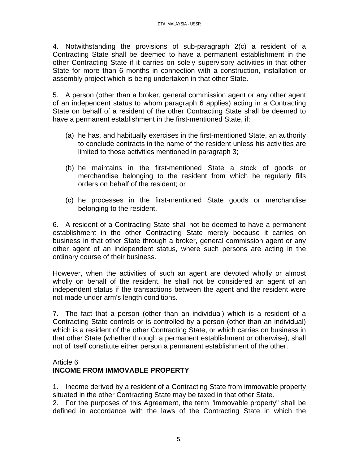4. Notwithstanding the provisions of sub-paragraph 2(c) a resident of a Contracting State shall be deemed to have a permanent establishment in the other Contracting State if it carries on solely supervisory activities in that other State for more than 6 months in connection with a construction, installation or assembly project which is being undertaken in that other State.

5. A person (other than a broker, general commission agent or any other agent of an independent status to whom paragraph 6 applies) acting in a Contracting State on behalf of a resident of the other Contracting State shall be deemed to have a permanent establishment in the first-mentioned State, if:

- (a) he has, and habitually exercises in the first-mentioned State, an authority to conclude contracts in the name of the resident unless his activities are limited to those activities mentioned in paragraph 3;
- (b) he maintains in the first-mentioned State a stock of goods or merchandise belonging to the resident from which he regularly fills orders on behalf of the resident; or
- (c) he processes in the first-mentioned State goods or merchandise belonging to the resident.

6. A resident of a Contracting State shall not be deemed to have a permanent establishment in the other Contracting State merely because it carries on business in that other State through a broker, general commission agent or any other agent of an independent status, where such persons are acting in the ordinary course of their business.

However, when the activities of such an agent are devoted wholly or almost wholly on behalf of the resident, he shall not be considered an agent of an independent status if the transactions between the agent and the resident were not made under arm's length conditions.

7. The fact that a person (other than an individual) which is a resident of a Contracting State controls or is controlled by a person (other than an individual) which is a resident of the other Contracting State, or which carries on business in that other State (whether through a permanent establishment or otherwise), shall not of itself constitute either person a permanent establishment of the other.

## Article 6 **INCOME FROM IMMOVABLE PROPERTY**

1. Income derived by a resident of a Contracting State from immovable property situated in the other Contracting State may be taxed in that other State.

2. For the purposes of this Agreement, the term "immovable property" shall be defined in accordance with the laws of the Contracting State in which the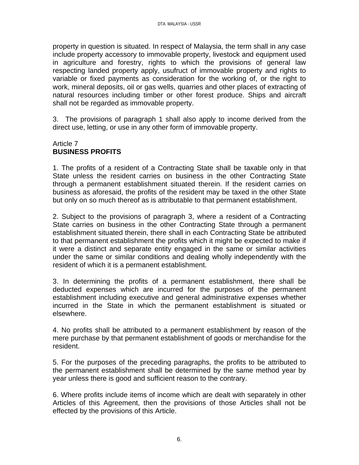property in question is situated. In respect of Malaysia, the term shall in any case include property accessory to immovable property, livestock and equipment used in agriculture and forestry, rights to which the provisions of general law respecting landed property apply, usufruct of immovable property and rights to variable or fixed payments as consideration for the working of, or the right to work, mineral deposits, oil or gas wells, quarries and other places of extracting of natural resources including timber or other forest produce. Ships and aircraft shall not be regarded as immovable property.

3. The provisions of paragraph 1 shall also apply to income derived from the direct use, letting, or use in any other form of immovable property.

#### Article 7 **BUSINESS PROFITS**

1. The profits of a resident of a Contracting State shall be taxable only in that State unless the resident carries on business in the other Contracting State through a permanent establishment situated therein. If the resident carries on business as aforesaid, the profits of the resident may be taxed in the other State but only on so much thereof as is attributable to that permanent establishment.

2. Subject to the provisions of paragraph 3, where a resident of a Contracting State carries on business in the other Contracting State through a permanent establishment situated therein, there shall in each Contracting State be attributed to that permanent establishment the profits which it might be expected to make if it were a distinct and separate entity engaged in the same or similar activities under the same or similar conditions and dealing wholly independently with the resident of which it is a permanent establishment.

3. In determining the profits of a permanent establishment, there shall be deducted expenses which are incurred for the purposes of the permanent establishment including executive and general administrative expenses whether incurred in the State in which the permanent establishment is situated or elsewhere.

4. No profits shall be attributed to a permanent establishment by reason of the mere purchase by that permanent establishment of goods or merchandise for the resident.

5. For the purposes of the preceding paragraphs, the profits to be attributed to the permanent establishment shall be determined by the same method year by year unless there is good and sufficient reason to the contrary.

6. Where profits include items of income which are dealt with separately in other Articles of this Agreement, then the provisions of those Articles shall not be effected by the provisions of this Article.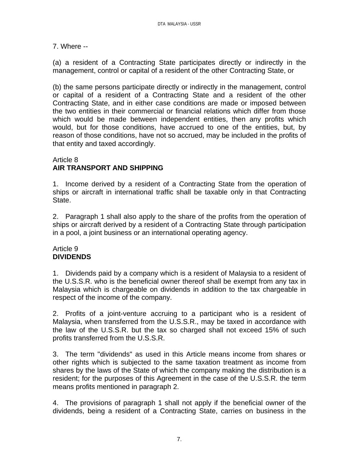7. Where --

(a) a resident of a Contracting State participates directly or indirectly in the management, control or capital of a resident of the other Contracting State, or

(b) the same persons participate directly or indirectly in the management, control or capital of a resident of a Contracting State and a resident of the other Contracting State, and in either case conditions are made or imposed between the two entities in their commercial or financial relations which differ from those which would be made between independent entities, then any profits which would, but for those conditions, have accrued to one of the entities, but, by reason of those conditions, have not so accrued, may be included in the profits of that entity and taxed accordingly.

## Article 8 **AIR TRANSPORT AND SHIPPING**

1. Income derived by a resident of a Contracting State from the operation of ships or aircraft in international traffic shall be taxable only in that Contracting State.

2. Paragraph 1 shall also apply to the share of the profits from the operation of ships or aircraft derived by a resident of a Contracting State through participation in a pool, a joint business or an international operating agency.

#### Article 9 **DIVIDENDS**

1. Dividends paid by a company which is a resident of Malaysia to a resident of the U.S.S.R. who is the beneficial owner thereof shall be exempt from any tax in Malaysia which is chargeable on dividends in addition to the tax chargeable in respect of the income of the company.

2. Profits of a joint-venture accruing to a participant who is a resident of Malaysia, when transferred from the U.S.S.R., may be taxed in accordance with the law of the U.S.S.R. but the tax so charged shall not exceed 15% of such profits transferred from the U.S.S.R.

3. The term "dividends" as used in this Article means income from shares or other rights which is subjected to the same taxation treatment as income from shares by the laws of the State of which the company making the distribution is a resident; for the purposes of this Agreement in the case of the U.S.S.R. the term means profits mentioned in paragraph 2.

4. The provisions of paragraph 1 shall not apply if the beneficial owner of the dividends, being a resident of a Contracting State, carries on business in the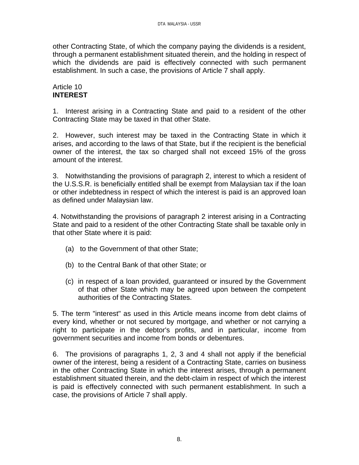other Contracting State, of which the company paying the dividends is a resident, through a permanent establishment situated therein, and the holding in respect of which the dividends are paid is effectively connected with such permanent establishment. In such a case, the provisions of Article 7 shall apply.

## Article 10 **INTEREST**

1. Interest arising in a Contracting State and paid to a resident of the other Contracting State may be taxed in that other State.

2. However, such interest may be taxed in the Contracting State in which it arises, and according to the laws of that State, but if the recipient is the beneficial owner of the interest, the tax so charged shall not exceed 15% of the gross amount of the interest.

3. Notwithstanding the provisions of paragraph 2, interest to which a resident of the U.S.S.R. is beneficially entitled shall be exempt from Malaysian tax if the loan or other indebtedness in respect of which the interest is paid is an approved loan as defined under Malaysian law.

4. Notwithstanding the provisions of paragraph 2 interest arising in a Contracting State and paid to a resident of the other Contracting State shall be taxable only in that other State where it is paid:

- (a) to the Government of that other State;
- (b) to the Central Bank of that other State; or
- (c) in respect of a loan provided, guaranteed or insured by the Government of that other State which may be agreed upon between the competent authorities of the Contracting States.

5. The term "interest" as used in this Article means income from debt claims of every kind, whether or not secured by mortgage, and whether or not carrying a right to participate in the debtor's profits, and in particular, income from government securities and income from bonds or debentures.

6. The provisions of paragraphs 1, 2, 3 and 4 shall not apply if the beneficial owner of the interest, being a resident of a Contracting State, carries on business in the other Contracting State in which the interest arises, through a permanent establishment situated therein, and the debt-claim in respect of which the interest is paid is effectively connected with such permanent establishment. In such a case, the provisions of Article 7 shall apply.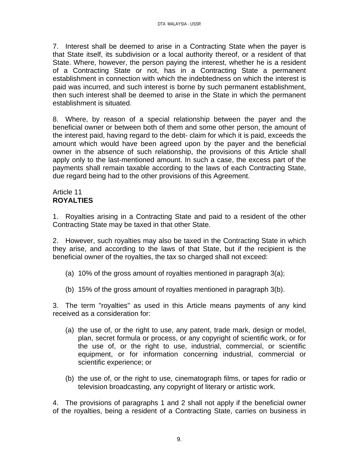7. Interest shall be deemed to arise in a Contracting State when the payer is that State itself, its subdivision or a local authority thereof, or a resident of that State. Where, however, the person paying the interest, whether he is a resident of a Contracting State or not, has in a Contracting State a permanent establishment in connection with which the indebtedness on which the interest is paid was incurred, and such interest is borne by such permanent establishment, then such interest shall be deemed to arise in the State in which the permanent establishment is situated.

8. Where, by reason of a special relationship between the payer and the beneficial owner or between both of them and some other person, the amount of the interest paid, having regard to the debt- claim for which it is paid, exceeds the amount which would have been agreed upon by the payer and the beneficial owner in the absence of such relationship, the provisions of this Article shall apply only to the last-mentioned amount. In such a case, the excess part of the payments shall remain taxable according to the laws of each Contracting State, due regard being had to the other provisions of this Agreement.

## Article 11 **ROYALTIES**

1. Royalties arising in a Contracting State and paid to a resident of the other Contracting State may be taxed in that other State.

2. However, such royalties may also be taxed in the Contracting State in which they arise, and according to the laws of that State, but if the recipient is the beneficial owner of the royalties, the tax so charged shall not exceed:

- (a) 10% of the gross amount of royalties mentioned in paragraph 3(a);
- (b) 15% of the gross amount of royalties mentioned in paragraph 3(b).

3. The term "royalties" as used in this Article means payments of any kind received as a consideration for:

- (a) the use of, or the right to use, any patent, trade mark, design or model, plan, secret formula or process, or any copyright of scientific work, or for the use of, or the right to use, industrial, commercial, or scientific equipment, or for information concerning industrial, commercial or scientific experience; or
- (b) the use of, or the right to use, cinematograph films, or tapes for radio or television broadcasting, any copyright of literary or artistic work.

4. The provisions of paragraphs 1 and 2 shall not apply if the beneficial owner of the royalties, being a resident of a Contracting State, carries on business in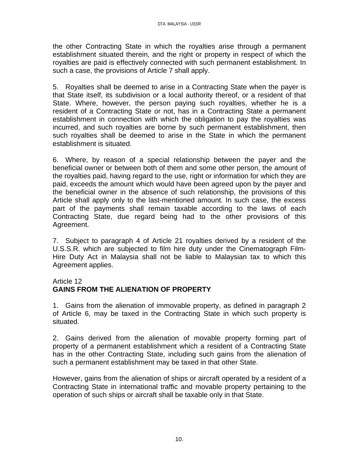the other Contracting State in which the royalties arise through a permanent establishment situated therein, and the right or property in respect of which the royalties are paid is effectively connected with such permanent establishment. In such a case, the provisions of Article 7 shall apply.

5. Royalties shall be deemed to arise in a Contracting State when the payer is that State itself, its subdivision or a local authority thereof, or a resident of that State. Where, however, the person paying such royalties, whether he is a resident of a Contracting State or not, has in a Contracting State a permanent establishment in connection with which the obligation to pay the royalties was incurred, and such royalties are borne by such permanent establishment, then such royalties shall be deemed to arise in the State in which the permanent establishment is situated.

6. Where, by reason of a special relationship between the payer and the beneficial owner or between both of them and some other person, the amount of the royalties paid, having regard to the use, right or information for which they are paid, exceeds the amount which would have been agreed upon by the payer and the beneficial owner in the absence of such relationship, the provisions of this Article shall apply only to the last-mentioned amount. In such case, the excess part of the payments shall remain taxable according to the laws of each Contracting State, due regard being had to the other provisions of this Agreement.

7. Subject to paragraph 4 of Article 21 royalties derived by a resident of the U.S.S.R. which are subjected to film hire duty under the Cinematograph Film-Hire Duty Act in Malaysia shall not be liable to Malaysian tax to which this Agreement applies.

#### Article 12

# **GAINS FROM THE ALIENATION OF PROPERTY**

1. Gains from the alienation of immovable property, as defined in paragraph 2 of Article 6, may be taxed in the Contracting State in which such property is situated.

2. Gains derived from the alienation of movable property forming part of property of a permanent establishment which a resident of a Contracting State has in the other Contracting State, including such gains from the alienation of such a permanent establishment may be taxed in that other State.

However, gains from the alienation of ships or aircraft operated by a resident of a Contracting State in international traffic and movable property pertaining to the operation of such ships or aircraft shall be taxable only in that State.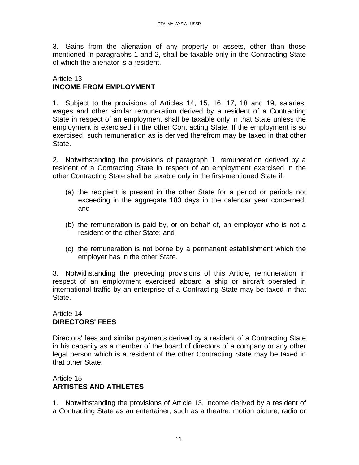3. Gains from the alienation of any property or assets, other than those mentioned in paragraphs 1 and 2, shall be taxable only in the Contracting State of which the alienator is a resident.

## Article 13 **INCOME FROM EMPLOYMENT**

1. Subject to the provisions of Articles 14, 15, 16, 17, 18 and 19, salaries, wages and other similar remuneration derived by a resident of a Contracting State in respect of an employment shall be taxable only in that State unless the employment is exercised in the other Contracting State. If the employment is so exercised, such remuneration as is derived therefrom may be taxed in that other State.

2. Notwithstanding the provisions of paragraph 1, remuneration derived by a resident of a Contracting State in respect of an employment exercised in the other Contracting State shall be taxable only in the first-mentioned State if:

- (a) the recipient is present in the other State for a period or periods not exceeding in the aggregate 183 days in the calendar year concerned; and
- (b) the remuneration is paid by, or on behalf of, an employer who is not a resident of the other State; and
- (c) the remuneration is not borne by a permanent establishment which the employer has in the other State.

3. Notwithstanding the preceding provisions of this Article, remuneration in respect of an employment exercised aboard a ship or aircraft operated in international traffic by an enterprise of a Contracting State may be taxed in that State.

## Article 14 **DIRECTORS' FEES**

Directors' fees and similar payments derived by a resident of a Contracting State in his capacity as a member of the board of directors of a company or any other legal person which is a resident of the other Contracting State may be taxed in that other State.

## Article 15 **ARTISTES AND ATHLETES**

1. Notwithstanding the provisions of Article 13, income derived by a resident of a Contracting State as an entertainer, such as a theatre, motion picture, radio or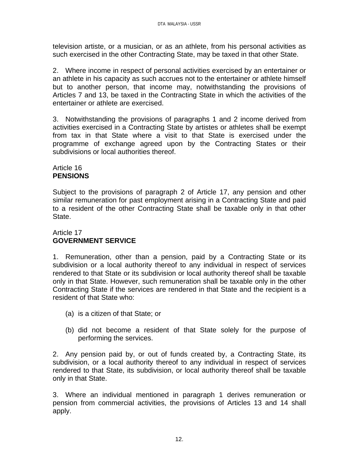television artiste, or a musician, or as an athlete, from his personal activities as such exercised in the other Contracting State, may be taxed in that other State.

2. Where income in respect of personal activities exercised by an entertainer or an athlete in his capacity as such accrues not to the entertainer or athlete himself but to another person, that income may, notwithstanding the provisions of Articles 7 and 13, be taxed in the Contracting State in which the activities of the entertainer or athlete are exercised.

3. Notwithstanding the provisions of paragraphs 1 and 2 income derived from activities exercised in a Contracting State by artistes or athletes shall be exempt from tax in that State where a visit to that State is exercised under the programme of exchange agreed upon by the Contracting States or their subdivisions or local authorities thereof.

## Article 16 **PENSIONS**

Subject to the provisions of paragraph 2 of Article 17, any pension and other similar remuneration for past employment arising in a Contracting State and paid to a resident of the other Contracting State shall be taxable only in that other State.

## Article 17 **GOVERNMENT SERVICE**

1. Remuneration, other than a pension, paid by a Contracting State or its subdivision or a local authority thereof to any individual in respect of services rendered to that State or its subdivision or local authority thereof shall be taxable only in that State. However, such remuneration shall be taxable only in the other Contracting State if the services are rendered in that State and the recipient is a resident of that State who:

- (a) is a citizen of that State; or
- (b) did not become a resident of that State solely for the purpose of performing the services.

2. Any pension paid by, or out of funds created by, a Contracting State, its subdivision, or a local authority thereof to any individual in respect of services rendered to that State, its subdivision, or local authority thereof shall be taxable only in that State.

3. Where an individual mentioned in paragraph 1 derives remuneration or pension from commercial activities, the provisions of Articles 13 and 14 shall apply.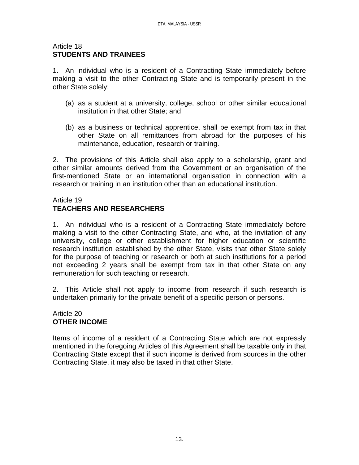#### Article 18 **STUDENTS AND TRAINEES**

1. An individual who is a resident of a Contracting State immediately before making a visit to the other Contracting State and is temporarily present in the other State solely:

- (a) as a student at a university, college, school or other similar educational institution in that other State; and
- (b) as a business or technical apprentice, shall be exempt from tax in that other State on all remittances from abroad for the purposes of his maintenance, education, research or training.

2. The provisions of this Article shall also apply to a scholarship, grant and other similar amounts derived from the Government or an organisation of the first-mentioned State or an international organisation in connection with a research or training in an institution other than an educational institution.

## Article 19

# **TEACHERS AND RESEARCHERS**

1. An individual who is a resident of a Contracting State immediately before making a visit to the other Contracting State, and who, at the invitation of any university, college or other establishment for higher education or scientific research institution established by the other State, visits that other State solely for the purpose of teaching or research or both at such institutions for a period not exceeding 2 years shall be exempt from tax in that other State on any remuneration for such teaching or research.

2. This Article shall not apply to income from research if such research is undertaken primarily for the private benefit of a specific person or persons.

#### Article 20 **OTHER INCOME**

Items of income of a resident of a Contracting State which are not expressly mentioned in the foregoing Articles of this Agreement shall be taxable only in that Contracting State except that if such income is derived from sources in the other Contracting State, it may also be taxed in that other State.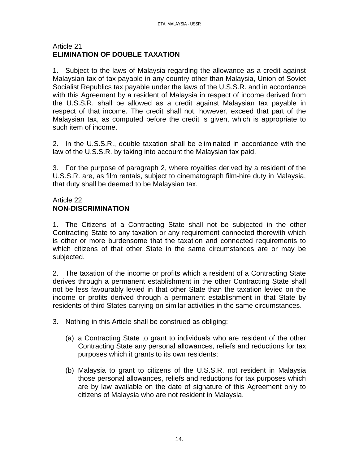## Article 21 **ELIMINATION OF DOUBLE TAXATION**

1. Subject to the laws of Malaysia regarding the allowance as a credit against Malaysian tax of tax payable in any country other than Malaysia, Union of Soviet Socialist Republics tax payable under the laws of the U.S.S.R. and in accordance with this Agreement by a resident of Malaysia in respect of income derived from the U.S.S.R. shall be allowed as a credit against Malaysian tax payable in respect of that income. The credit shall not, however, exceed that part of the Malaysian tax, as computed before the credit is given, which is appropriate to such item of income.

2. In the U.S.S.R., double taxation shall be eliminated in accordance with the law of the U.S.S.R. by taking into account the Malaysian tax paid.

3. For the purpose of paragraph 2, where royalties derived by a resident of the U.S.S.R. are, as film rentals, subject to cinematograph film-hire duty in Malaysia, that duty shall be deemed to be Malaysian tax.

## Article 22 **NON-DISCRIMINATION**

1. The Citizens of a Contracting State shall not be subjected in the other Contracting State to any taxation or any requirement connected therewith which is other or more burdensome that the taxation and connected requirements to which citizens of that other State in the same circumstances are or may be subjected.

2. The taxation of the income or profits which a resident of a Contracting State derives through a permanent establishment in the other Contracting State shall not be less favourably levied in that other State than the taxation levied on the income or profits derived through a permanent establishment in that State by residents of third States carrying on similar activities in the same circumstances.

- 3. Nothing in this Article shall be construed as obliging:
	- (a) a Contracting State to grant to individuals who are resident of the other Contracting State any personal allowances, reliefs and reductions for tax purposes which it grants to its own residents;
	- (b) Malaysia to grant to citizens of the U.S.S.R. not resident in Malaysia those personal allowances, reliefs and reductions for tax purposes which are by law available on the date of signature of this Agreement only to citizens of Malaysia who are not resident in Malaysia.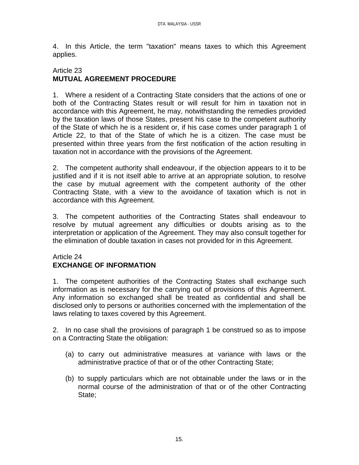4. In this Article, the term "taxation" means taxes to which this Agreement applies.

#### Article 23 **MUTUAL AGREEMENT PROCEDURE**

1. Where a resident of a Contracting State considers that the actions of one or both of the Contracting States result or will result for him in taxation not in accordance with this Agreement, he may, notwithstanding the remedies provided by the taxation laws of those States, present his case to the competent authority of the State of which he is a resident or, if his case comes under paragraph 1 of Article 22, to that of the State of which he is a citizen. The case must be presented within three years from the first notification of the action resulting in taxation not in accordance with the provisions of the Agreement.

2. The competent authority shall endeavour, if the objection appears to it to be justified and if it is not itself able to arrive at an appropriate solution, to resolve the case by mutual agreement with the competent authority of the other Contracting State, with a view to the avoidance of taxation which is not in accordance with this Agreement.

3. The competent authorities of the Contracting States shall endeavour to resolve by mutual agreement any difficulties or doubts arising as to the interpretation or application of the Agreement. They may also consult together for the elimination of double taxation in cases not provided for in this Agreement.

## Article 24 **EXCHANGE OF INFORMATION**

1. The competent authorities of the Contracting States shall exchange such information as is necessary for the carrying out of provisions of this Agreement. Any information so exchanged shall be treated as confidential and shall be disclosed only to persons or authorities concerned with the implementation of the laws relating to taxes covered by this Agreement.

2. In no case shall the provisions of paragraph 1 be construed so as to impose on a Contracting State the obligation:

- (a) to carry out administrative measures at variance with laws or the administrative practice of that or of the other Contracting State;
- (b) to supply particulars which are not obtainable under the laws or in the normal course of the administration of that or of the other Contracting State;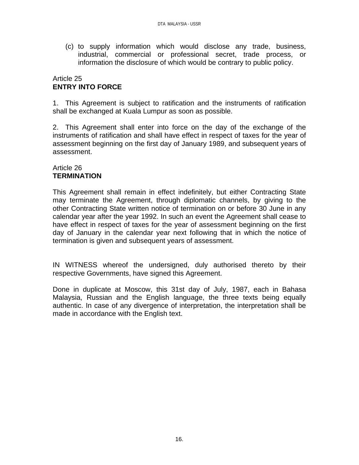(c) to supply information which would disclose any trade, business, industrial, commercial or professional secret, trade process, or information the disclosure of which would be contrary to public policy.

#### Article 25 **ENTRY INTO FORCE**

1. This Agreement is subject to ratification and the instruments of ratification shall be exchanged at Kuala Lumpur as soon as possible.

2. This Agreement shall enter into force on the day of the exchange of the instruments of ratification and shall have effect in respect of taxes for the year of assessment beginning on the first day of January 1989, and subsequent years of assessment.

## Article 26 **TERMINATION**

This Agreement shall remain in effect indefinitely, but either Contracting State may terminate the Agreement, through diplomatic channels, by giving to the other Contracting State written notice of termination on or before 30 June in any calendar year after the year 1992. In such an event the Agreement shall cease to have effect in respect of taxes for the year of assessment beginning on the first day of January in the calendar year next following that in which the notice of termination is given and subsequent years of assessment.

IN WITNESS whereof the undersigned, duly authorised thereto by their respective Governments, have signed this Agreement.

Done in duplicate at Moscow, this 31st day of July, 1987, each in Bahasa Malaysia, Russian and the English language, the three texts being equally authentic. In case of any divergence of interpretation, the interpretation shall be made in accordance with the English text.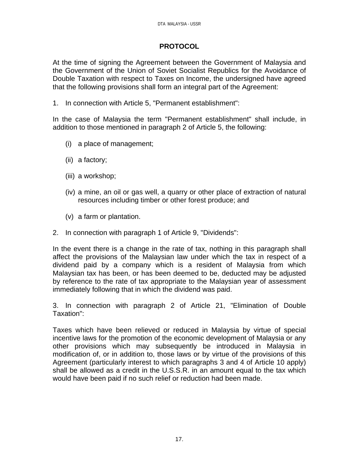## **PROTOCOL**

At the time of signing the Agreement between the Government of Malaysia and the Government of the Union of Soviet Socialist Republics for the Avoidance of Double Taxation with respect to Taxes on Income, the undersigned have agreed that the following provisions shall form an integral part of the Agreement:

1. In connection with Article 5, "Permanent establishment":

In the case of Malaysia the term "Permanent establishment" shall include, in addition to those mentioned in paragraph 2 of Article 5, the following:

- (i) a place of management;
- (ii) a factory;
- (iii) a workshop;
- (iv) a mine, an oil or gas well, a quarry or other place of extraction of natural resources including timber or other forest produce; and
- (v) a farm or plantation.
- 2. In connection with paragraph 1 of Article 9, "Dividends":

In the event there is a change in the rate of tax, nothing in this paragraph shall affect the provisions of the Malaysian law under which the tax in respect of a dividend paid by a company which is a resident of Malaysia from which Malaysian tax has been, or has been deemed to be, deducted may be adjusted by reference to the rate of tax appropriate to the Malaysian year of assessment immediately following that in which the dividend was paid.

3. In connection with paragraph 2 of Article 21, "Elimination of Double Taxation":

Taxes which have been relieved or reduced in Malaysia by virtue of special incentive laws for the promotion of the economic development of Malaysia or any other provisions which may subsequently be introduced in Malaysia in modification of, or in addition to, those laws or by virtue of the provisions of this Agreement (particularly interest to which paragraphs 3 and 4 of Article 10 apply) shall be allowed as a credit in the U.S.S.R. in an amount equal to the tax which would have been paid if no such relief or reduction had been made.